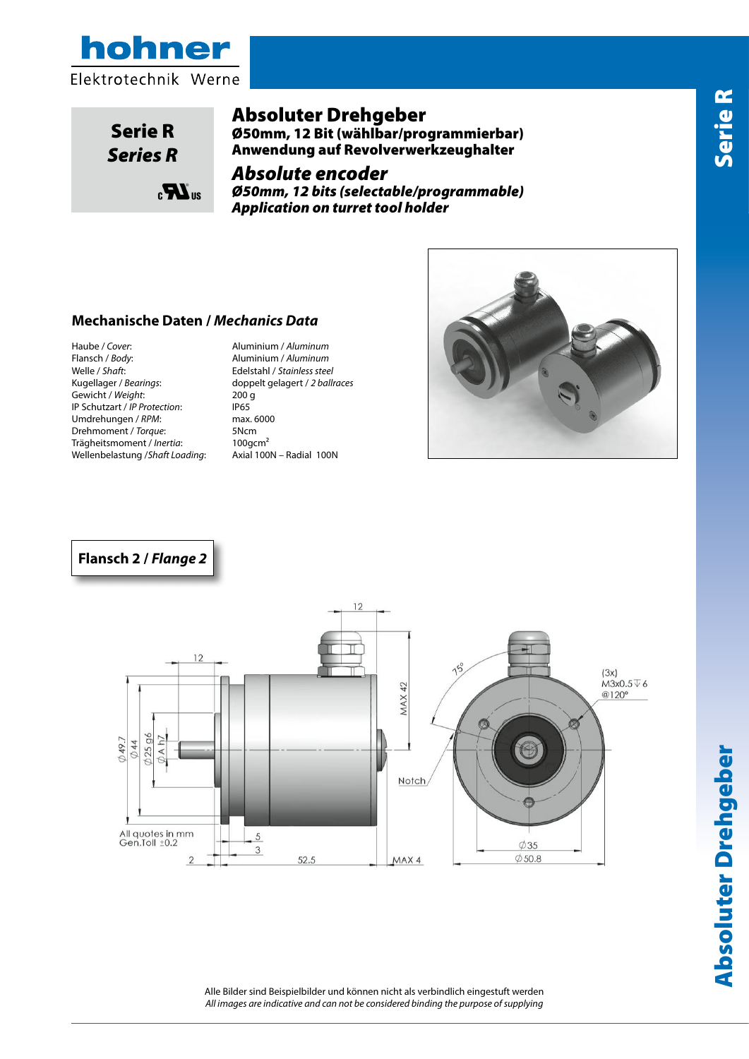

www.hohner.it

www.hohner.it



Serie R *Series R*

e<br>Roja<br>Roja

 $_{\rm c}$  $\mathbf{R}$ <sub>us</sub>

#### Absoluter Drehgeber

Ø50mm, 12 Bit (wählbar/programmierbar) Anwendung auf Revolverwerkzeughalter

## Absolute encoder

*Ø50mm, 12 bits (selectable/programmable) Absolute encoder ø50mm 12bit (Selectable*/*Programmable) Absolute encoder ø50mm 12bit (Selectable*/*Programmable) Application on turret tool holder application on turret tool holder application on turret tool holder*

# **Dati Meccanici /** *Mechanics Data* **Mechanische Daten /** *Mechanics Data* **Custodia /** *Cover:* Alluminio naturale / *Aluminum*

**Custodia /** *Cover:* Alluminio naturale / *Aluminum* Haube / *Cover*: Aluminium / *Aluminum* **Flangia/** *Body***:** Alluminio naturale / *Aluminum* **Flangia/** *Body***:** Alluminio naturale / *Aluminum* Flansch / *Body*: Aluminium / *Aluminum* **Albero /** *Shaft***:** Acciaio INOX / *Stainless steel* **Albero /** *Shaft***:** Acciaio INOX / *Stainless steel* Welle / *Shaft*: Edelstahl / *Stainless steel* **Cuscinetti /** *Bearings***:** 2 a sfere / *ballraces* **Cuscinetti /** *Bearings***:** 2 a sfere / *ballraces* **Peso / Weight:** 200gr **Peso /** *Peso / Weight***: 200 g IP Schutzart /** *IP Protection***: IP65** Umdrehungen / *RPM*: max. 6000 **Coppia /** *Torque***:** 5Ncm Drehmoment / *Torque*: 5Ncm **Momento inerzia /** *Inertia* **:** 100gcm² **Momento inerzia /** *Inertia* **:** 100gcm² **Carico sull'albero /Shaft Loading:** Axi 100N - Rad 100N Wellenbelastung /*Shaft Loading*: Axial 100N – Radial 100N Trägheitsmoment / *Inertia*: 100gcm² **Carico sull'albero /Shaft Loading:** Axi 100N - Rad 100N

Kugellager / *Bearings*: doppelt gelagert / *2 ballraces*



#### Flange 2 Flange 2 **Flansch 2 /** *Flange 2*

Rev 3



**Absoluter Drehgeber** Absoluter Drehgeber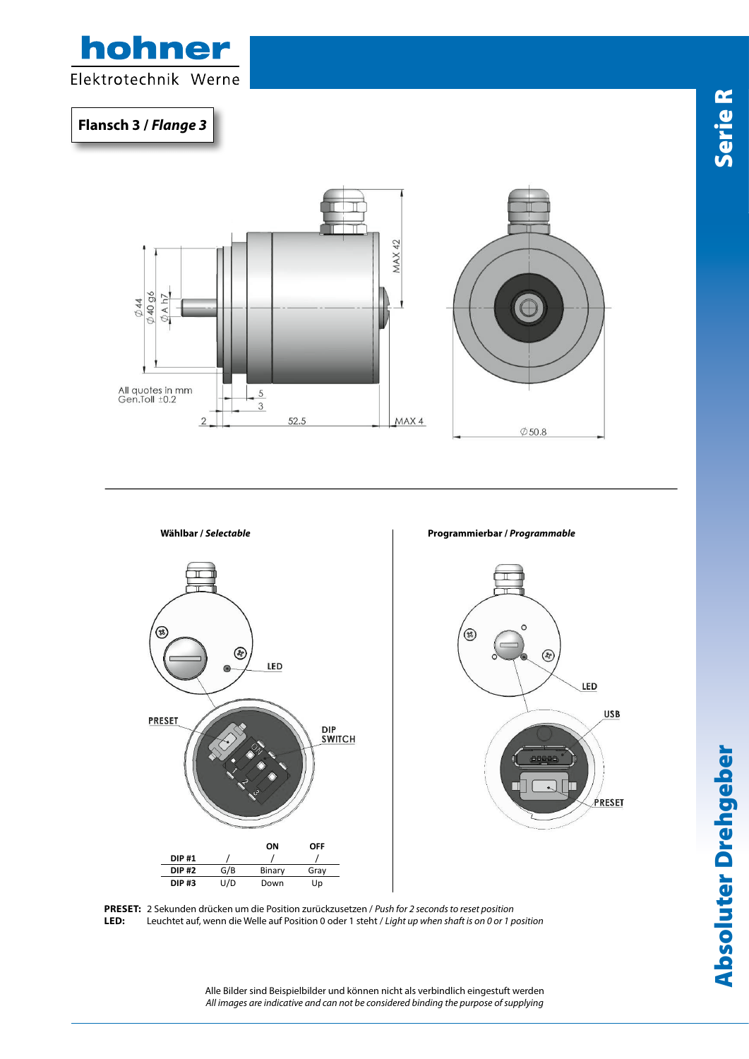

**Flansch 3 /** *Flange 3*

 $-$ 





**PRESET:** 2 Sekunden drücken um die Position zurückzusetzen / *Push for 2 seconds to reset position* LED: Leuchtet auf, wenn die Welle auf Position 0 oder 1 steht / *Light up when shaft is on 0 or 1 position* 

> Alle Bilder sind Beispielbilder und können nicht als verbindlich eingestuft werden *All images are indicative and can not be considered binding the purpose of supplying*

ww.hohner.it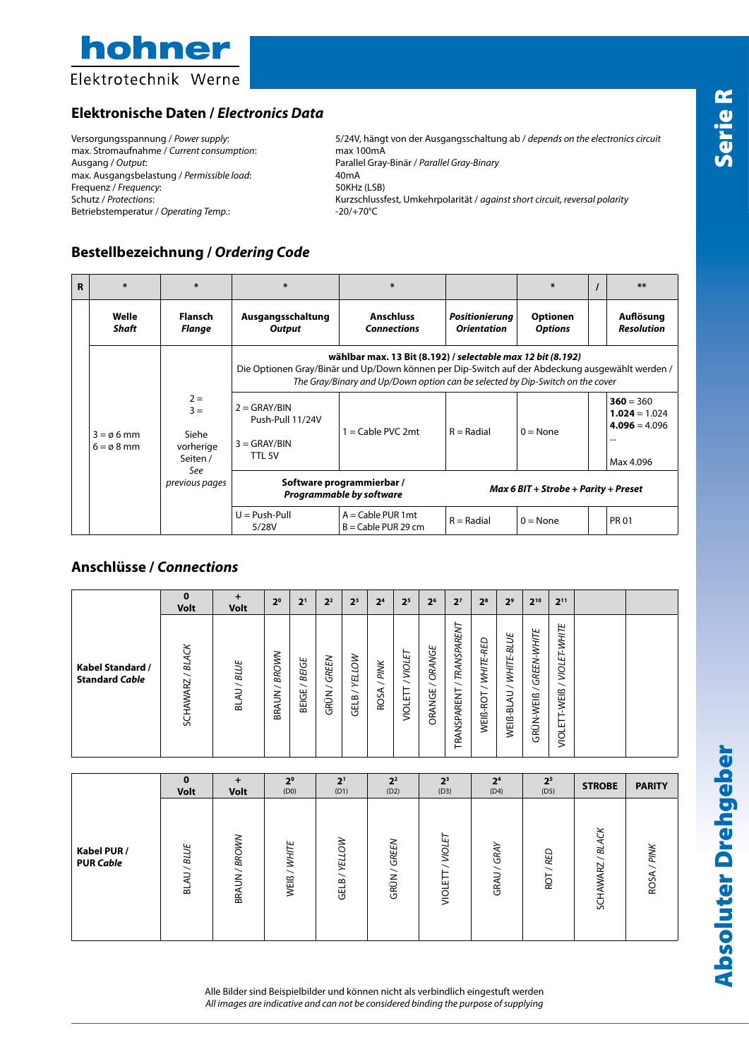

## **Elektronische Daten /** *Electronics Data*

max. Stromaufnahme / *Current consumption*: max 100mA max. Ausgangsbelastung / *Permissible load*: 40mA<br>Frequenz / *Frequency*: 50KHz (LSB) Frequenz / *Frequency*: Betriebstemperatur / Operating Temp.:

Versorgungsspannung / *Power supply*: 5/24V, hängt von der Ausgangsschaltung ab / *depends on the electronics circuit* Parallel Gray-Binär / *Parallel Gray-Binary*<br>40mA Schutz / *Protections*: Kurzschlussfest, Umkehrpolarität / *against short circuit, reversal polarity*<br>Betriebstemperatur / Operating Temp.: 20/+70°C<br>-20/+70°C

## **Bestellbezeichnung /** *Ordering Code*

| R | ∗                                            | ∗                                                                         | *                                                                                                                                                                                                                                               | $\ast$                                                       |                                         | ∗                                 |  | $***$                                                                      |  |  |  |  |  |
|---|----------------------------------------------|---------------------------------------------------------------------------|-------------------------------------------------------------------------------------------------------------------------------------------------------------------------------------------------------------------------------------------------|--------------------------------------------------------------|-----------------------------------------|-----------------------------------|--|----------------------------------------------------------------------------|--|--|--|--|--|
|   | Welle<br>Shaft                               | Flansch<br>Flange                                                         | Ausgangsschaltung<br><b>Output</b>                                                                                                                                                                                                              | <b>Anschluss</b><br><b>Connections</b>                       | Positionierung<br><b>Orientation</b>    | <b>Optionen</b><br><b>Options</b> |  | Auflösung<br><b>Resolution</b>                                             |  |  |  |  |  |
|   | $3 = \emptyset 6$ mm<br>$6 = \emptyset 8$ mm |                                                                           | wählbar max. 13 Bit (8.192) / selectable max 12 bit (8.192)<br>Die Optionen Gray/Binär und Up/Down können per Dip-Switch auf der Abdeckung ausgewählt werden /<br>The Gray/Binary and Up/Down option can be selected by Dip-Switch on the cover |                                                              |                                         |                                   |  |                                                                            |  |  |  |  |  |
|   |                                              | $2 =$<br>$3 =$<br>Siehe<br>vorherige<br>Seiten /<br>See<br>previous pages | $2 = GRAY/BIN$<br>Push-Pull 11/24V<br>$3 = GRAY/BIN$<br>TTL 5V                                                                                                                                                                                  | $1 =$ Cable PVC 2mt                                          | $R = Radial$                            | $0 = \text{None}$                 |  | $360 = 360$<br>$1.024 = 1.024$<br>$4.096 = 4.096$<br>$\cdots$<br>Max 4.096 |  |  |  |  |  |
|   |                                              |                                                                           |                                                                                                                                                                                                                                                 | Software programmierbar /<br><b>Programmable by software</b> | $Max 6 BIT + Stroke + Parity + Present$ |                                   |  |                                                                            |  |  |  |  |  |
|   |                                              |                                                                           | $U = Push-Pull$<br>5/28V                                                                                                                                                                                                                        | $A =$ Cable PUR 1 mt<br>$B =$ Cable PUR 29 cm                | $R = Radial$                            | $0 = \text{None}$                 |  | <b>PR 01</b>                                                               |  |  |  |  |  |

#### **Anschlüsse /** *Connections*

|                                           | $\bf{0}$<br><b>Volt</b>                                     | <b>Volt</b>      | 2 <sup>0</sup>             | 2 <sup>1</sup>             | 2 <sup>2</sup>                            | 2 <sup>3</sup>                             | 2 <sup>4</sup>                           | 2 <sup>5</sup>        | 2 <sup>6</sup>   | 2 <sup>7</sup>                                                | 2 <sup>8</sup>                                    | 2 <sup>9</sup>                                      | $2^{10}$                      | $2^{11}$                                                |  |
|-------------------------------------------|-------------------------------------------------------------|------------------|----------------------------|----------------------------|-------------------------------------------|--------------------------------------------|------------------------------------------|-----------------------|------------------|---------------------------------------------------------------|---------------------------------------------------|-----------------------------------------------------|-------------------------------|---------------------------------------------------------|--|
| Kabel Standard /<br><b>Standard Cable</b> | <b>BLACK</b><br>$\overline{\phantom{0}}$<br><b>SCHAWARZ</b> | / BLUE<br>₹<br>긂 | <b>BROWN</b><br>∼<br>BRAUN | <b>BEIGE</b><br>∼<br>BEIGE | GREEN<br>$\overline{\phantom{0}}$<br>GRÜN | YELLOW<br>$\overline{\phantom{0}}$<br>GELB | PINK<br>$\overline{\phantom{0}}$<br>ROSA | VIOLET<br>╮<br>VIOLET | ORANGE<br>ORANGE | <b>TRANSPARENT</b><br>$\overline{\phantom{0}}$<br>TRANSPARENT | WHITE-RED<br>$\overline{\phantom{0}}$<br>WEIß-ROT | WHITE-BLUE<br>$\overline{\phantom{0}}$<br>WEIß-BLAU | GREEN-WHITE<br>╮<br>GRÜN-WEIß | <b>WHITE</b><br>ᄘ<br>ш<br>mon<br>WEIß<br>ய<br><b>DI</b> |  |

|                                 | $\bf{0}$<br><b>Volt</b> | $\div$<br><b>Volt</b> | 2 <sup>0</sup><br>(D0)                     | 2 <sup>1</sup><br>(D1) | 2 <sup>2</sup><br>(D2)                           | 2 <sup>3</sup><br>(D3)    | 2 <sup>4</sup><br>(D4) | 2 <sup>5</sup><br>(D5) | <b>STROBE</b>       | <b>PARITY</b> |
|---------------------------------|-------------------------|-----------------------|--------------------------------------------|------------------------|--------------------------------------------------|---------------------------|------------------------|------------------------|---------------------|---------------|
| Kabel PUR /<br><b>PUR Cable</b> | AU / BLUE<br>ಹ          | BRAUN / BROWW         | WHITE<br>$\overline{\phantom{0}}$<br>WEIß. | <b>YELLOW</b><br>GELB  | GREEN<br>$\overline{\phantom{0}}$<br><b>GRÜN</b> | ⊢<br>ш<br>NOT<br>⊞<br>non | GRAY<br>GRAU/          | <b>RED</b><br>ā        | ర<br>5<br>RZ<br>ŠЯ, | PINK<br>ROSA  |

Alle Bilder sind Beispielbilder und können nicht als verbindlich eingestuft werden *All images are indicative and can not be considered binding the purpose of supplying*